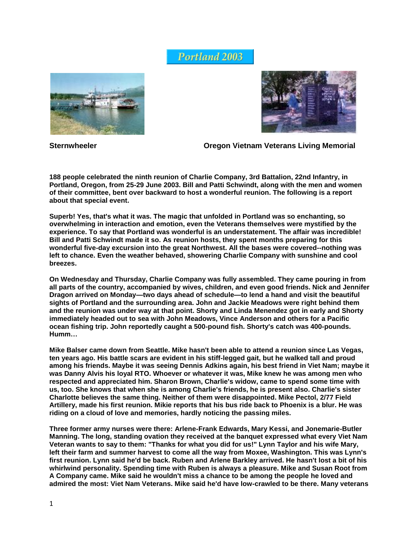## **Portland 2003**





**Sternwheeler Communisty Cregon Vietnam Veterans Living Memorial** 

**188 people celebrated the ninth reunion of Charlie Company, 3rd Battalion, 22nd Infantry, in Portland, Oregon, from 25-29 June 2003. Bill and Patti Schwindt, along with the men and women of their committee, bent over backward to host a wonderful reunion. The following is a report about that special event.** 

**Superb! Yes, that's what it was. The magic that unfolded in Portland was so enchanting, so overwhelming in interaction and emotion, even the Veterans themselves were mystified by the experience. To say that Portland was wonderful is an understatement. The affair was incredible! Bill and Patti Schwindt made it so. As reunion hosts, they spent months preparing for this wonderful five-day excursion into the great Northwest. All the bases were covered--nothing was left to chance. Even the weather behaved, showering Charlie Company with sunshine and cool breezes.** 

**On Wednesday and Thursday, Charlie Company was fully assembled. They came pouring in from all parts of the country, accompanied by wives, children, and even good friends. Nick and Jennifer Dragon arrived on Monday—two days ahead of schedule—to lend a hand and visit the beautiful sights of Portland and the surrounding area. John and Jackie Meadows were right behind them and the reunion was under way at that point. Shorty and Linda Menendez got in early and Shorty immediately headed out to sea with John Meadows, Vince Anderson and others for a Pacific ocean fishing trip. John reportedly caught a 500-pound fish. Shorty's catch was 400-pounds. Humm…** 

**Mike Balser came down from Seattle. Mike hasn't been able to attend a reunion since Las Vegas, ten years ago. His battle scars are evident in his stiff-legged gait, but he walked tall and proud among his friends. Maybe it was seeing Dennis Adkins again, his best friend in Viet Nam; maybe it was Danny Alvis his loyal RTO. Whoever or whatever it was, Mike knew he was among men who respected and appreciated him. Sharon Brown, Charlie's widow, came to spend some time with us, too. She knows that when she is among Charlie's friends, he is present also. Charlie's sister Charlotte believes the same thing. Neither of them were disappointed. Mike Pectol, 2/77 Field Artillery, made his first reunion. Mikie reports that his bus ride back to Phoenix is a blur. He was riding on a cloud of love and memories, hardly noticing the passing miles.** 

**Three former army nurses were there: Arlene-Frank Edwards, Mary Kessi, and Jonemarie-Butler Manning. The long, standing ovation they received at the banquet expressed what every Viet Nam Veteran wants to say to them: "Thanks for what you did for us!" Lynn Taylor and his wife Mary, left their farm and summer harvest to come all the way from Moxee, Washington. This was Lynn's first reunion. Lynn said he'd be back. Ruben and Arlene Barkley arrived. He hasn't lost a bit of his whirlwind personality. Spending time with Ruben is always a pleasure. Mike and Susan Root from A Company came. Mike said he wouldn't miss a chance to be among the people he loved and admired the most: Viet Nam Veterans. Mike said he'd have low-crawled to be there. Many veterans**